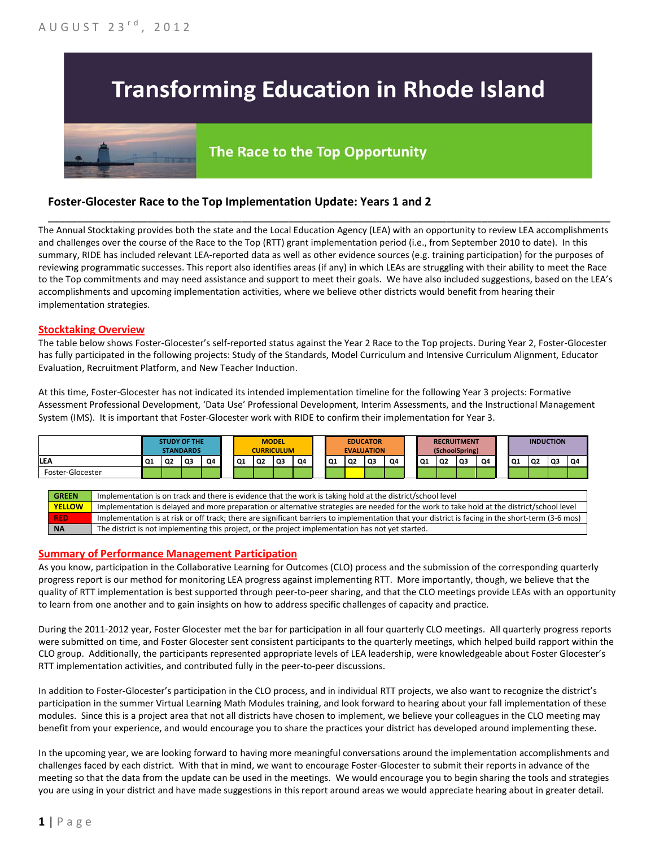# **Transforming Education in Rhode Island**

## The Race to the Top Opportunity

### **Foster-Glocester Race to the Top Implementation Update: Years 1 and 2**

The Annual Stocktaking provides both the state and the Local Education Agency (LEA) with an opportunity to review LEA accomplishments and challenges over the course of the Race to the Top (RTT) grant implementation period (i.e., from September 2010 to date). In this summary, RIDE has included relevant LEA-reported data as well as other evidence sources (e.g. training participation) for the purposes of reviewing programmatic successes. This report also identifies areas (if any) in which LEAs are struggling with their ability to meet the Race to the Top commitments and may need assistance and support to meet their goals. We have also included suggestions, based on the LEA's accomplishments and upcoming implementation activities, where we believe other districts would benefit from hearing their implementation strategies.

\_\_\_\_\_\_\_\_\_\_\_\_\_\_\_\_\_\_\_\_\_\_\_\_\_\_\_\_\_\_\_\_\_\_\_\_\_\_\_\_\_\_\_\_\_\_\_\_\_\_\_\_\_\_\_\_\_\_\_\_\_\_\_\_\_\_\_\_\_\_\_\_\_\_\_\_\_\_\_\_\_\_\_\_\_\_\_\_\_\_\_\_\_\_\_\_

#### **Stocktaking Overview**

The table below shows Foster-Glocester's self-reported status against the Year 2 Race to the Top projects. During Year 2, Foster-Glocester has fully participated in the following projects: Study of the Standards, Model Curriculum and Intensive Curriculum Alignment, Educator Evaluation, Recruitment Platform, and New Teacher Induction.

At this time, Foster-Glocester has not indicated its intended implementation timeline for the following Year 3 projects: Formative Assessment Professional Development, 'Data Use' Professional Development, Interim Assessments, and the Instructional Management System (IMS). It is important that Foster-Glocester work with RIDE to confirm their implementation for Year 3.



#### **Summary of Performance Management Participation**

As you know, participation in the Collaborative Learning for Outcomes (CLO) process and the submission of the corresponding quarterly progress report is our method for monitoring LEA progress against implementing RTT. More importantly, though, we believe that the quality of RTT implementation is best supported through peer-to-peer sharing, and that the CLO meetings provide LEAs with an opportunity to learn from one another and to gain insights on how to address specific challenges of capacity and practice.

During the 2011-2012 year, Foster Glocester met the bar for participation in all four quarterly CLO meetings. All quarterly progress reports were submitted on time, and Foster Glocester sent consistent participants to the quarterly meetings, which helped build rapport within the CLO group. Additionally, the participants represented appropriate levels of LEA leadership, were knowledgeable about Foster Glocester's RTT implementation activities, and contributed fully in the peer-to-peer discussions.

In addition to Foster-Glocester's participation in the CLO process, and in individual RTT projects, we also want to recognize the district's participation in the summer Virtual Learning Math Modules training, and look forward to hearing about your fall implementation of these modules. Since this is a project area that not all districts have chosen to implement, we believe your colleagues in the CLO meeting may benefit from your experience, and would encourage you to share the practices your district has developed around implementing these.

In the upcoming year, we are looking forward to having more meaningful conversations around the implementation accomplishments and challenges faced by each district. With that in mind, we want to encourage Foster-Glocester to submit their reports in advance of the meeting so that the data from the update can be used in the meetings. We would encourage you to begin sharing the tools and strategies you are using in your district and have made suggestions in this report around areas we would appreciate hearing about in greater detail.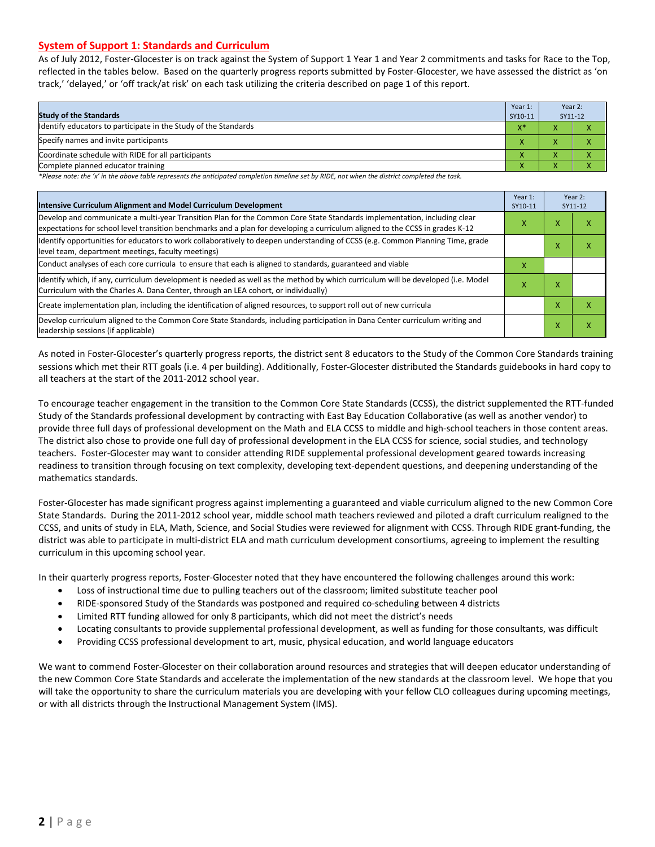#### **System of Support 1: Standards and Curriculum**

As of July 2012, Foster-Glocester is on track against the System of Support 1 Year 1 and Year 2 commitments and tasks for Race to the Top, reflected in the tables below. Based on the quarterly progress reports submitted by Foster-Glocester, we have assessed the district as 'on track,' 'delayed,' or 'off track/at risk' on each task utilizing the criteria described on page 1 of this report.

| <b>Study of the Standards</b>                                   | Year 1:<br>SY10-11 | Year 2:<br>SY11-12     |  |
|-----------------------------------------------------------------|--------------------|------------------------|--|
| Identify educators to participate in the Study of the Standards | $X^*$              |                        |  |
| Specify names and invite participants                           | $\mathbf{\Lambda}$ |                        |  |
| Coordinate schedule with RIDE for all participants              |                    |                        |  |
| Complete planned educator training                              | '                  | $\mathbf{v}$<br>$\sim$ |  |

*\*Please note: the 'x' in the above table represents the anticipated completion timeline set by RIDE, not when the district completed the task.*

| Intensive Curriculum Alignment and Model Curriculum Development                                                                                                                                                                                           |   |   | Year 2:<br>SY11-12 |
|-----------------------------------------------------------------------------------------------------------------------------------------------------------------------------------------------------------------------------------------------------------|---|---|--------------------|
| Develop and communicate a multi-year Transition Plan for the Common Core State Standards implementation, including clear<br>expectations for school level transition benchmarks and a plan for developing a curriculum aligned to the CCSS in grades K-12 |   |   | χ                  |
| Identify opportunities for educators to work collaboratively to deepen understanding of CCSS (e.g. Common Planning Time, grade<br>level team, department meetings, faculty meetings)                                                                      |   | л | χ                  |
| Conduct analyses of each core curricula to ensure that each is aligned to standards, guaranteed and viable                                                                                                                                                | X |   |                    |
| Identify which, if any, curriculum development is needed as well as the method by which curriculum will be developed (i.e. Model<br>Curriculum with the Charles A. Dana Center, through an LEA cohort, or individually)                                   | x | x |                    |
| Create implementation plan, including the identification of aligned resources, to support roll out of new curricula                                                                                                                                       |   | x | χ                  |
| Develop curriculum aligned to the Common Core State Standards, including participation in Dana Center curriculum writing and<br>leadership sessions (if applicable)                                                                                       |   | x | χ                  |

As noted in Foster-Glocester's quarterly progress reports, the district sent 8 educators to the Study of the Common Core Standards training sessions which met their RTT goals (i.e. 4 per building). Additionally, Foster-Glocester distributed the Standards guidebooks in hard copy to all teachers at the start of the 2011-2012 school year.

To encourage teacher engagement in the transition to the Common Core State Standards (CCSS), the district supplemented the RTT-funded Study of the Standards professional development by contracting with East Bay Education Collaborative (as well as another vendor) to provide three full days of professional development on the Math and ELA CCSS to middle and high-school teachers in those content areas. The district also chose to provide one full day of professional development in the ELA CCSS for science, social studies, and technology teachers. Foster-Glocester may want to consider attending RIDE supplemental professional development geared towards increasing readiness to transition through focusing on text complexity, developing text-dependent questions, and deepening understanding of the mathematics standards.

Foster-Glocester has made significant progress against implementing a guaranteed and viable curriculum aligned to the new Common Core State Standards. During the 2011-2012 school year, middle school math teachers reviewed and piloted a draft curriculum realigned to the CCSS, and units of study in ELA, Math, Science, and Social Studies were reviewed for alignment with CCSS. Through RIDE grant-funding, the district was able to participate in multi-district ELA and math curriculum development consortiums, agreeing to implement the resulting curriculum in this upcoming school year.

In their quarterly progress reports, Foster-Glocester noted that they have encountered the following challenges around this work:

- Loss of instructional time due to pulling teachers out of the classroom; limited substitute teacher pool
- RIDE-sponsored Study of the Standards was postponed and required co-scheduling between 4 districts
- Limited RTT funding allowed for only 8 participants, which did not meet the district's needs
- Locating consultants to provide supplemental professional development, as well as funding for those consultants, was difficult
- Providing CCSS professional development to art, music, physical education, and world language educators

We want to commend Foster-Glocester on their collaboration around resources and strategies that will deepen educator understanding of the new Common Core State Standards and accelerate the implementation of the new standards at the classroom level. We hope that you will take the opportunity to share the curriculum materials you are developing with your fellow CLO colleagues during upcoming meetings, or with all districts through the Instructional Management System (IMS).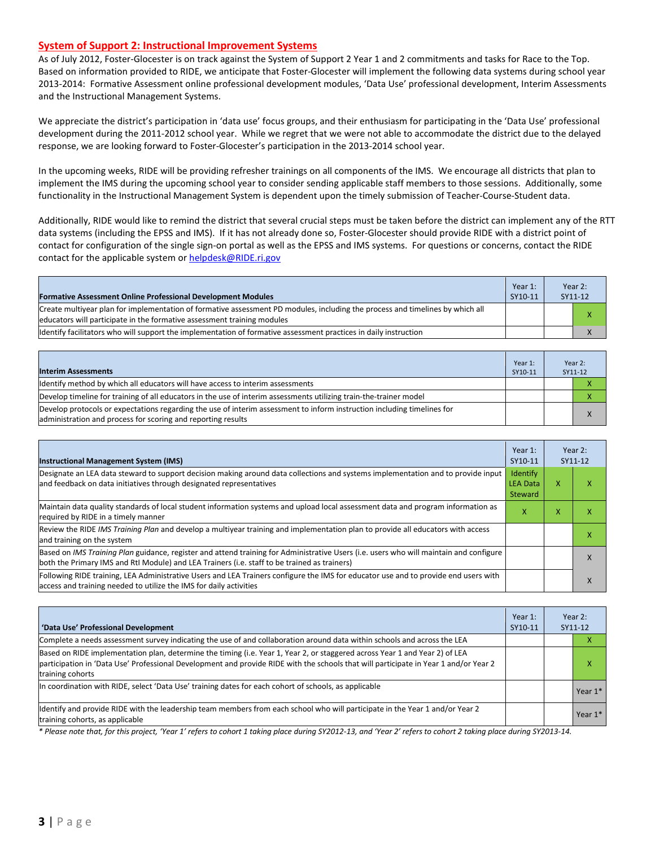#### **System of Support 2: Instructional Improvement Systems**

As of July 2012, Foster-Glocester is on track against the System of Support 2 Year 1 and 2 commitments and tasks for Race to the Top. Based on information provided to RIDE, we anticipate that Foster-Glocester will implement the following data systems during school year 2013-2014: Formative Assessment online professional development modules, 'Data Use' professional development, Interim Assessments and the Instructional Management Systems.

We appreciate the district's participation in 'data use' focus groups, and their enthusiasm for participating in the 'Data Use' professional development during the 2011-2012 school year. While we regret that we were not able to accommodate the district due to the delayed response, we are looking forward to Foster-Glocester's participation in the 2013-2014 school year.

In the upcoming weeks, RIDE will be providing refresher trainings on all components of the IMS. We encourage all districts that plan to implement the IMS during the upcoming school year to consider sending applicable staff members to those sessions. Additionally, some functionality in the Instructional Management System is dependent upon the timely submission of Teacher-Course-Student data.

Additionally, RIDE would like to remind the district that several crucial steps must be taken before the district can implement any of the RTT data systems (including the EPSS and IMS). If it has not already done so, Foster-Glocester should provide RIDE with a district point of contact for configuration of the single sign-on portal as well as the EPSS and IMS systems. For questions or concerns, contact the RIDE contact for the applicable system or [helpdesk@RIDE.ri.gov](mailto:helpdesk@RIDE.ri.gov)

| <b>Formative Assessment Online Professional Development Modules</b>                                                                                                                                       | Year 1:<br>SY10-11 | Year 2:<br>SY11-12 |
|-----------------------------------------------------------------------------------------------------------------------------------------------------------------------------------------------------------|--------------------|--------------------|
| Create multiyear plan for implementation of formative assessment PD modules, including the process and timelines by which all<br>leducators will participate in the formative assessment training modules |                    |                    |
| Ildentify facilitators who will support the implementation of formative assessment practices in daily instruction                                                                                         |                    |                    |

| <b>Interim Assessments</b>                                                                                                                                                              | Year 1:<br>SY10-11 | Year 2:<br>SY11-12 |
|-----------------------------------------------------------------------------------------------------------------------------------------------------------------------------------------|--------------------|--------------------|
| Identify method by which all educators will have access to interim assessments                                                                                                          |                    |                    |
| Develop timeline for training of all educators in the use of interim assessments utilizing train-the-trainer model                                                                      |                    |                    |
| Develop protocols or expectations regarding the use of interim assessment to inform instruction including timelines for<br>administration and process for scoring and reporting results |                    |                    |

| <b>Instructional Management System (IMS)</b>                                                                                                                                                                                           | Year 1:<br>SY10-11                     |   | Year 2:<br>SY11-12 |
|----------------------------------------------------------------------------------------------------------------------------------------------------------------------------------------------------------------------------------------|----------------------------------------|---|--------------------|
| Designate an LEA data steward to support decision making around data collections and systems implementation and to provide input<br>and feedback on data initiatives through designated representatives                                | Identify<br><b>LEA Data</b><br>Steward | x |                    |
| Maintain data quality standards of local student information systems and upload local assessment data and program information as<br>required by RIDE in a timely manner                                                                | X                                      | x |                    |
| Review the RIDE IMS Training Plan and develop a multivear training and implementation plan to provide all educators with access<br>and training on the system                                                                          |                                        |   |                    |
| Based on IMS Training Plan guidance, register and attend training for Administrative Users (i.e. users who will maintain and configure<br>both the Primary IMS and RtI Module) and LEA Trainers (i.e. staff to be trained as trainers) |                                        |   |                    |
| Following RIDE training, LEA Administrative Users and LEA Trainers configure the IMS for educator use and to provide end users with<br>access and training needed to utilize the IMS for daily activities                              |                                        |   |                    |

| 'Data Use' Professional Development                                                                                                                                                                                                                                                     | Year 1:<br>SY10-11 | Year 2:<br>SY11-12 |         |
|-----------------------------------------------------------------------------------------------------------------------------------------------------------------------------------------------------------------------------------------------------------------------------------------|--------------------|--------------------|---------|
| Complete a needs assessment survey indicating the use of and collaboration around data within schools and across the LEA                                                                                                                                                                |                    |                    |         |
| Based on RIDE implementation plan, determine the timing (i.e. Year 1, Year 2, or staggered across Year 1 and Year 2) of LEA<br>participation in 'Data Use' Professional Development and provide RIDE with the schools that will participate in Year 1 and/or Year 2<br>training cohorts |                    |                    | л       |
| In coordination with RIDE, select 'Data Use' training dates for each cohort of schools, as applicable                                                                                                                                                                                   |                    |                    | Year 1* |
| Identify and provide RIDE with the leadership team members from each school who will participate in the Year 1 and/or Year 2<br>training cohorts, as applicable                                                                                                                         |                    |                    | Year 1* |

*\* Please note that, for this project, 'Year 1' refers to cohort 1 taking place during SY2012-13, and 'Year 2' refers to cohort 2 taking place during SY2013-14.*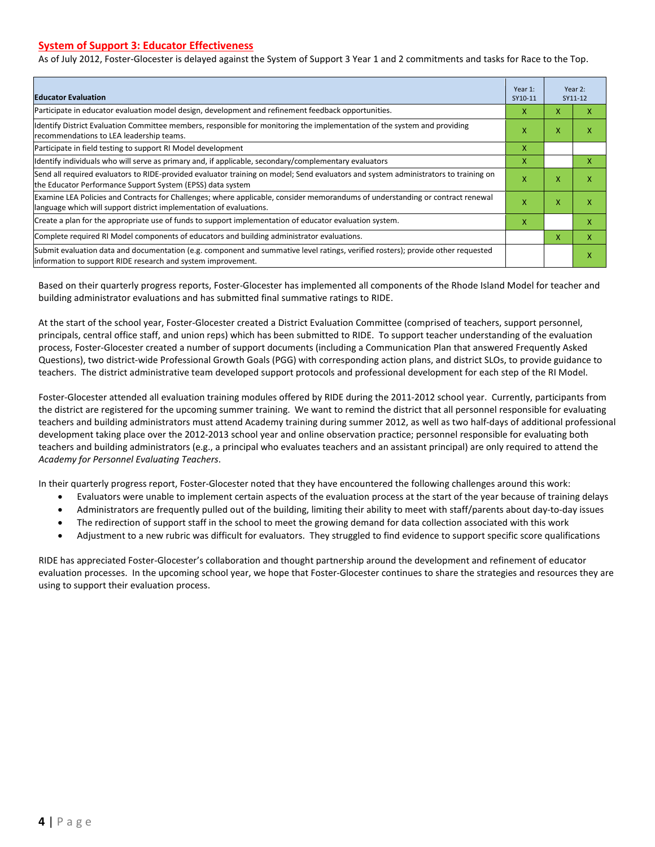#### **System of Support 3: Educator Effectiveness**

As of July 2012, Foster-Glocester is delayed against the System of Support 3 Year 1 and 2 commitments and tasks for Race to the Top.

| <b>Educator Evaluation</b>                                                                                                                                                                            |   |   | Year 2:<br>SY11-12 |
|-------------------------------------------------------------------------------------------------------------------------------------------------------------------------------------------------------|---|---|--------------------|
| Participate in educator evaluation model design, development and refinement feedback opportunities.                                                                                                   | х | X | x                  |
| Identify District Evaluation Committee members, responsible for monitoring the implementation of the system and providing<br>recommendations to LEA leadership teams.                                 |   | X | x                  |
| Participate in field testing to support RI Model development                                                                                                                                          | x |   |                    |
| Identify individuals who will serve as primary and, if applicable, secondary/complementary evaluators                                                                                                 |   |   | x                  |
| Send all required evaluators to RIDE-provided evaluator training on model; Send evaluators and system administrators to training on<br>the Educator Performance Support System (EPSS) data system     |   |   | X                  |
| Examine LEA Policies and Contracts for Challenges; where applicable, consider memorandums of understanding or contract renewal<br>language which will support district implementation of evaluations. | X | X | x                  |
| Create a plan for the appropriate use of funds to support implementation of educator evaluation system.                                                                                               |   |   | x                  |
| Complete required RI Model components of educators and building administrator evaluations.                                                                                                            |   |   | X                  |
| Submit evaluation data and documentation (e.g. component and summative level ratings, verified rosters); provide other requested<br>information to support RIDE research and system improvement.      |   |   | x                  |

Based on their quarterly progress reports, Foster-Glocester has implemented all components of the Rhode Island Model for teacher and building administrator evaluations and has submitted final summative ratings to RIDE.

At the start of the school year, Foster-Glocester created a District Evaluation Committee (comprised of teachers, support personnel, principals, central office staff, and union reps) which has been submitted to RIDE. To support teacher understanding of the evaluation process, Foster-Glocester created a number of support documents (including a Communication Plan that answered Frequently Asked Questions), two district-wide Professional Growth Goals (PGG) with corresponding action plans, and district SLOs, to provide guidance to teachers. The district administrative team developed support protocols and professional development for each step of the RI Model.

Foster-Glocester attended all evaluation training modules offered by RIDE during the 2011-2012 school year. Currently, participants from the district are registered for the upcoming summer training. We want to remind the district that all personnel responsible for evaluating teachers and building administrators must attend Academy training during summer 2012, as well as two half-days of additional professional development taking place over the 2012-2013 school year and online observation practice; personnel responsible for evaluating both teachers and building administrators (e.g., a principal who evaluates teachers and an assistant principal) are only required to attend the *Academy for Personnel Evaluating Teachers*.

In their quarterly progress report, Foster-Glocester noted that they have encountered the following challenges around this work:

- Evaluators were unable to implement certain aspects of the evaluation process at the start of the year because of training delays
- Administrators are frequently pulled out of the building, limiting their ability to meet with staff/parents about day-to-day issues
- The redirection of support staff in the school to meet the growing demand for data collection associated with this work
- Adjustment to a new rubric was difficult for evaluators. They struggled to find evidence to support specific score qualifications

RIDE has appreciated Foster-Glocester's collaboration and thought partnership around the development and refinement of educator evaluation processes. In the upcoming school year, we hope that Foster-Glocester continues to share the strategies and resources they are using to support their evaluation process.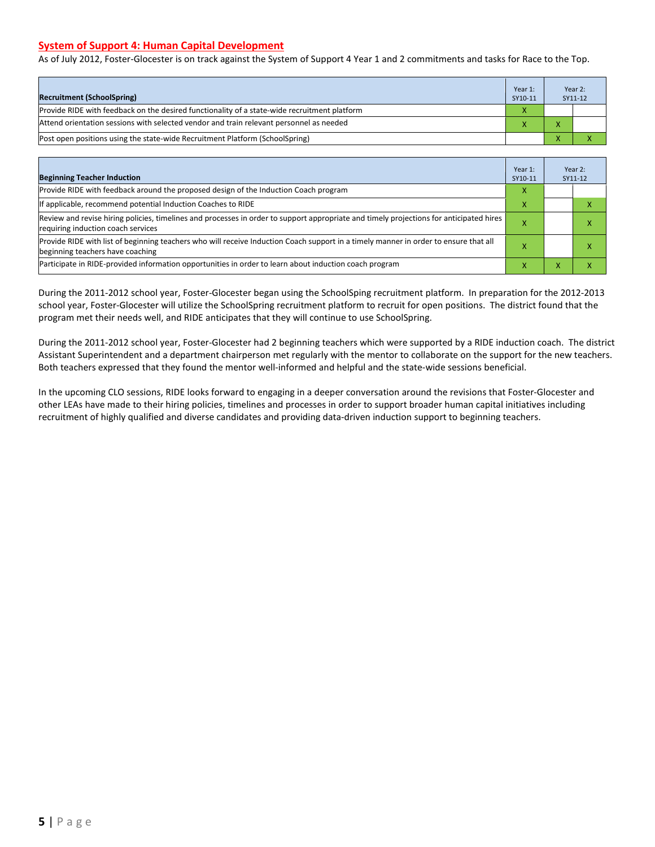#### **System of Support 4: Human Capital Development**

As of July 2012, Foster-Glocester is on track against the System of Support 4 Year 1 and 2 commitments and tasks for Race to the Top.

| <b>Recruitment (SchoolSpring)</b>                                                            | Year 1:<br>SY10-11 | Year 2:<br>SY11-12 |
|----------------------------------------------------------------------------------------------|--------------------|--------------------|
| Provide RIDE with feedback on the desired functionality of a state-wide recruitment platform | X                  |                    |
| Attend orientation sessions with selected vendor and train relevant personnel as needed      |                    |                    |
| [Post open positions using the state-wide Recruitment Platform (SchoolSpring)                |                    |                    |

| <b>Beginning Teacher Induction</b>                                                                                                                                            | Year 1:<br>SY10-11 |                | Year 2:<br>SY11-12 |
|-------------------------------------------------------------------------------------------------------------------------------------------------------------------------------|--------------------|----------------|--------------------|
| Provide RIDE with feedback around the proposed design of the Induction Coach program                                                                                          | X                  |                |                    |
| If applicable, recommend potential Induction Coaches to RIDE                                                                                                                  | X                  |                |                    |
| Review and revise hiring policies, timelines and processes in order to support appropriate and timely projections for anticipated hires<br>requiring induction coach services |                    |                |                    |
| Provide RIDE with list of beginning teachers who will receive Induction Coach support in a timely manner in order to ensure that all<br>beginning teachers have coaching      |                    |                |                    |
| Participate in RIDE-provided information opportunities in order to learn about induction coach program                                                                        | x                  | $\overline{ }$ |                    |

During the 2011-2012 school year, Foster-Glocester began using the SchoolSping recruitment platform. In preparation for the 2012-2013 school year, Foster-Glocester will utilize the SchoolSpring recruitment platform to recruit for open positions. The district found that the program met their needs well, and RIDE anticipates that they will continue to use SchoolSpring.

During the 2011-2012 school year, Foster-Glocester had 2 beginning teachers which were supported by a RIDE induction coach. The district Assistant Superintendent and a department chairperson met regularly with the mentor to collaborate on the support for the new teachers. Both teachers expressed that they found the mentor well-informed and helpful and the state-wide sessions beneficial.

In the upcoming CLO sessions, RIDE looks forward to engaging in a deeper conversation around the revisions that Foster-Glocester and other LEAs have made to their hiring policies, timelines and processes in order to support broader human capital initiatives including recruitment of highly qualified and diverse candidates and providing data-driven induction support to beginning teachers.